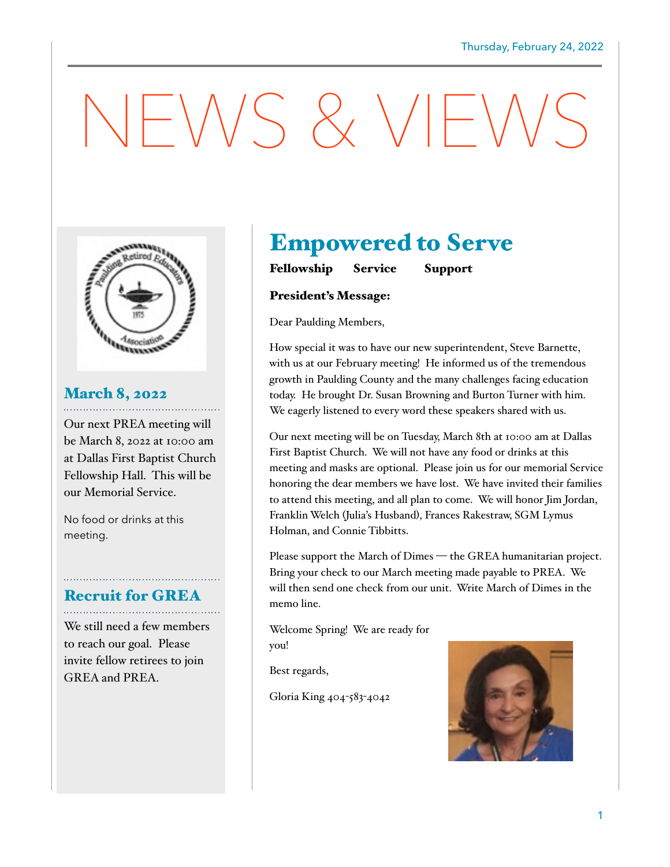# $NENSS$   $NIP$



## March 8, 2022

Our next PREA meeting will be March 8, 2022 at 10:00 am at Dallas First Baptist Church Fellowship Hall. This will be our Memorial Service.

No food or drinks at this meeting.

## Recruit for GREA

We still need a few members to reach our goal. Please invite fellow retirees to join GREA and PREA.

## Empowered to Serve

Fellowship Service Support

#### President's Message:

Dear Paulding Members,

How special it was to have our new superintendent, Steve Barnette, with us at our February meeting! He informed us of the tremendous growth in Paulding County and the many challenges facing education today. He brought Dr. Susan Browning and Burton Turner with him. We eagerly listened to every word these speakers shared with us.

Our next meeting will be on Tuesday, March 8th at 10:00 am at Dallas First Baptist Church. We will not have any food or drinks at this meeting and masks are optional. Please join us for our memorial Service honoring the dear members we have lost. We have invited their families to attend this meeting, and all plan to come. We will honor Jim Jordan, Franklin Welch (Julia's Husband), Frances Rakestraw, SGM Lymus Holman, and Connie Tibbitts.

Please support the March of Dimes — the GREA humanitarian project. Bring your check to our March meeting made payable to PREA. We will then send one check from our unit. Write March of Dimes in the memo line.

Welcome Spring! We are ready for you!

Best regards,

Gloria King 404-583-4042

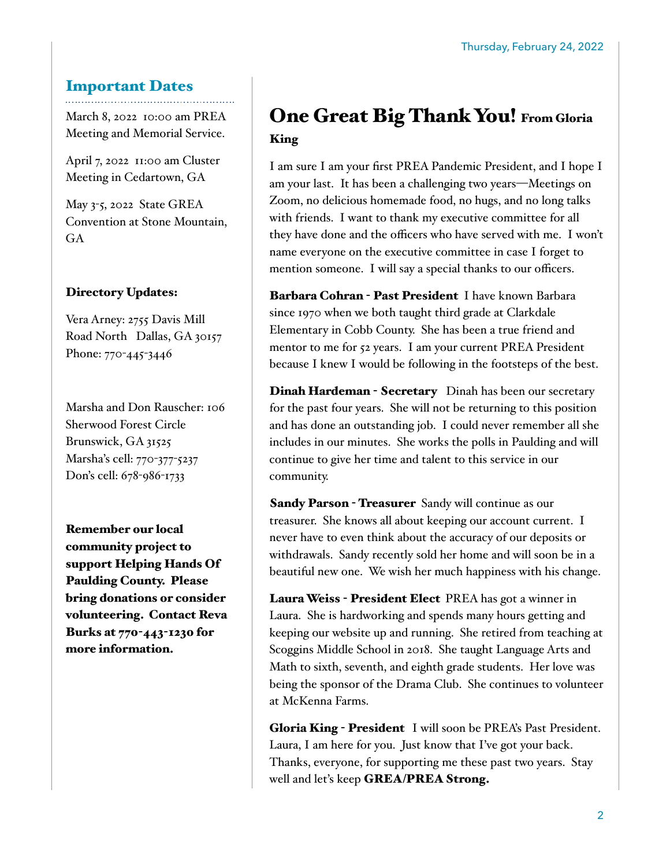#### Important Dates

March 8, 2022 10:00 am PREA Meeting and Memorial Service.

April 7, 2022 11:00 am Cluster Meeting in Cedartown, GA

May 3-5, 2022 State GREA Convention at Stone Mountain, GA

#### Directory Updates:

Vera Arney: 2755 Davis Mill Road North Dallas, GA 30157 Phone: 770-445-3446

Marsha and Don Rauscher: 106 Sherwood Forest Circle Brunswick, GA 31525 Marsha's cell: 770-377-5237 Don's cell: 678-986-1733

Remember our local community project to support Helping Hands Of Paulding County. Please bring donations or consider volunteering. Contact Reva Burks at 770-443-1230 for more information.

### One Great Big Thank You! From Gloria King

I am sure I am your first PREA Pandemic President, and I hope I am your last. It has been a challenging two years—Meetings on Zoom, no delicious homemade food, no hugs, and no long talks with friends. I want to thank my executive committee for all they have done and the officers who have served with me. I won't name everyone on the executive committee in case I forget to mention someone. I will say a special thanks to our officers.

Barbara Cohran - Past President I have known Barbara since 1970 when we both taught third grade at Clarkdale Elementary in Cobb County. She has been a true friend and mentor to me for 52 years. I am your current PREA President because I knew I would be following in the footsteps of the best.

Dinah Hardeman - Secretary Dinah has been our secretary for the past four years. She will not be returning to this position and has done an outstanding job. I could never remember all she includes in our minutes. She works the polls in Paulding and will continue to give her time and talent to this service in our community.

**Sandy Parson - Treasurer** Sandy will continue as our treasurer. She knows all about keeping our account current. I never have to even think about the accuracy of our deposits or withdrawals. Sandy recently sold her home and will soon be in a beautiful new one. We wish her much happiness with his change.

Laura Weiss - President Elect PREA has got a winner in Laura. She is hardworking and spends many hours getting and keeping our website up and running. She retired from teaching at Scoggins Middle School in 2018. She taught Language Arts and Math to sixth, seventh, and eighth grade students. Her love was being the sponsor of the Drama Club. She continues to volunteer at McKenna Farms.

Gloria King - President I will soon be PREA's Past President. Laura, I am here for you. Just know that I've got your back. Thanks, everyone, for supporting me these past two years. Stay well and let's keep **GREA/PREA Strong.**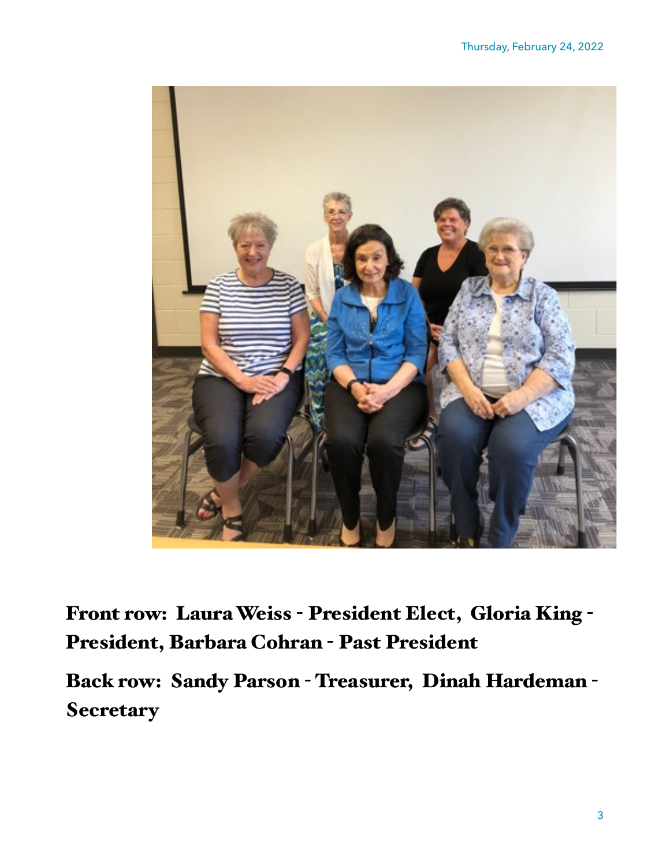

Front row: Laura Weiss - President Elect, Gloria King - President, Barbara Cohran - Past President

Back row: Sandy Parson - Treasurer, Dinah Hardeman - **Secretary**